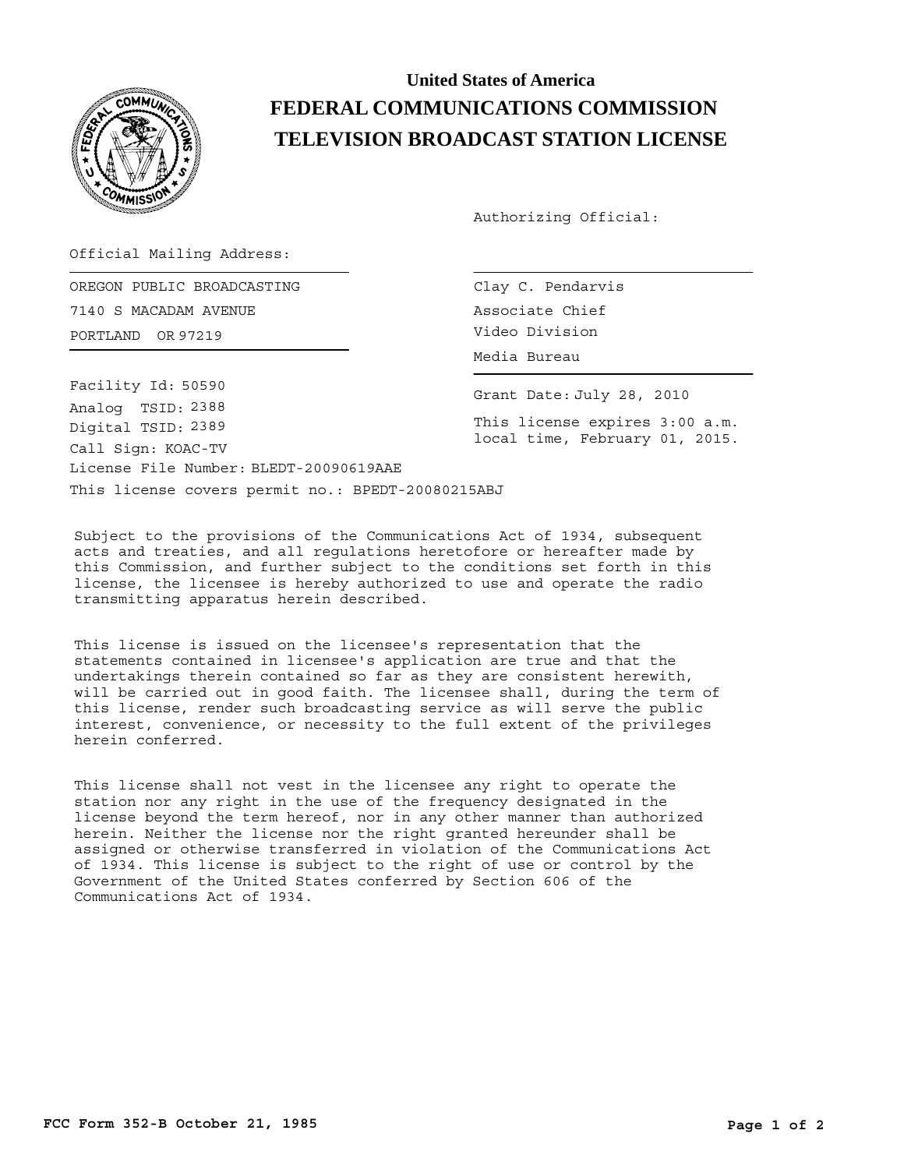

## **United States of America FEDERAL COMMUNICATIONS COMMISSION TELEVISION BROADCAST STATION LICENSE**

Authorizing Official:

Official Mailing Address:

PORTLAND OR 97219 Video Division OREGON PUBLIC BROADCASTING 7140 S MACADAM AVENUE

This license covers permit no.: BPEDT-20080215ABJ License File Number: BLEDT-20090619AAE Call Sign: KOAC-TV Facility Id: 50590 Digital TSID: 2389 Analog TSID: 2388

Clay C. Pendarvis Associate Chief

Media Bureau

Grant Date: July 28, 2010

This license expires 3:00 a.m. local time, February 01, 2015.

Subject to the provisions of the Communications Act of 1934, subsequent acts and treaties, and all regulations heretofore or hereafter made by this Commission, and further subject to the conditions set forth in this license, the licensee is hereby authorized to use and operate the radio transmitting apparatus herein described.

This license is issued on the licensee's representation that the statements contained in licensee's application are true and that the undertakings therein contained so far as they are consistent herewith, will be carried out in good faith. The licensee shall, during the term of this license, render such broadcasting service as will serve the public interest, convenience, or necessity to the full extent of the privileges herein conferred.

This license shall not vest in the licensee any right to operate the station nor any right in the use of the frequency designated in the license beyond the term hereof, nor in any other manner than authorized herein. Neither the license nor the right granted hereunder shall be assigned or otherwise transferred in violation of the Communications Act of 1934. This license is subject to the right of use or control by the Government of the United States conferred by Section 606 of the Communications Act of 1934.